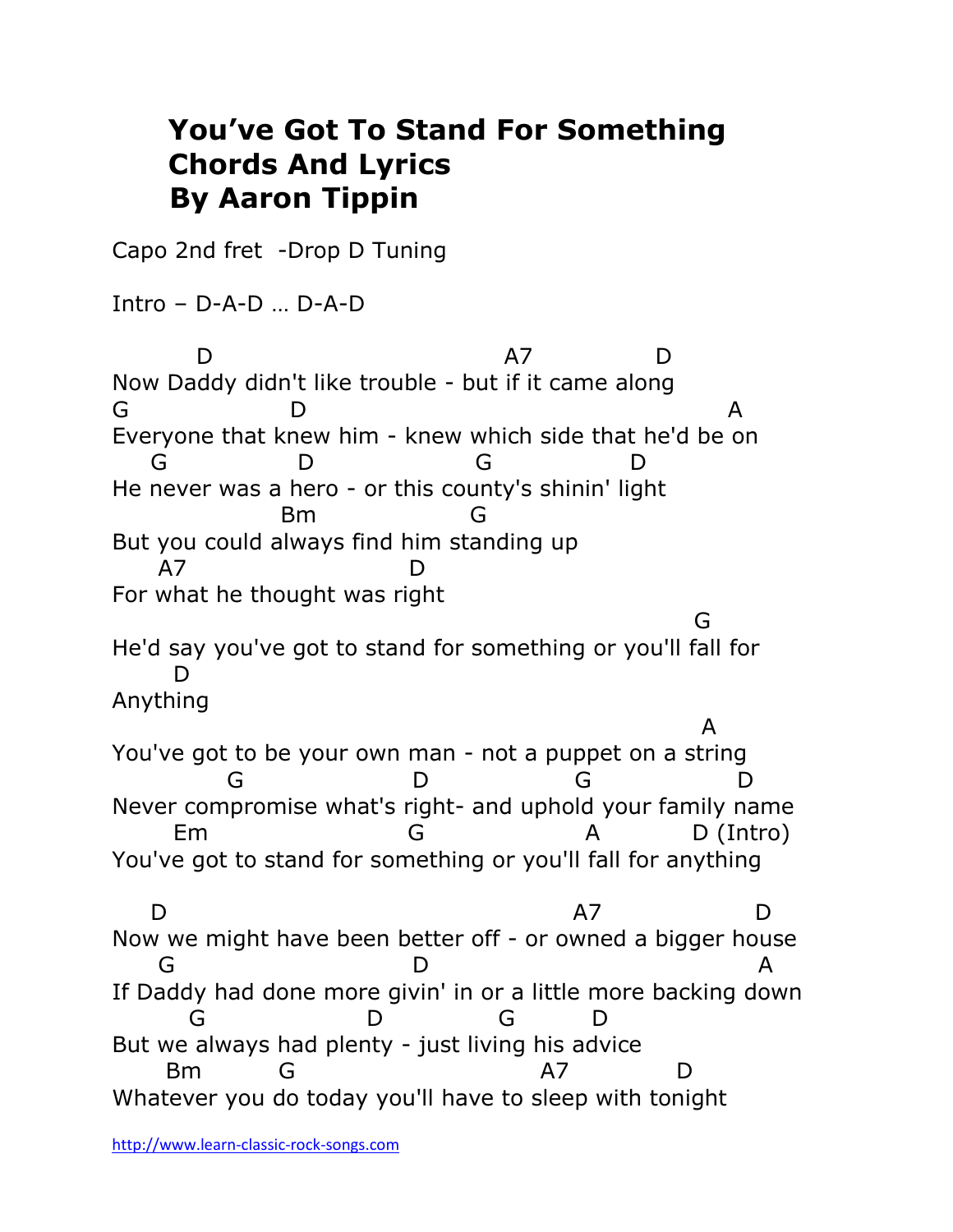## **You've Got To Stand For Something Chords And Lyrics By Aaron Tippin**

Capo 2nd fret -Drop D Tuning

Intro – D-A-D … D-A-D

 D A7 D Now Daddy didn't like trouble - but if it came along G D A Everyone that knew him - knew which side that he'd be on G D G D He never was a hero - or this county's shinin' light Bm G But you could always find him standing up A7 D For what he thought was right ga a shekarar 1992) a shekarar 1992 a tsarta 1992. A shekarar 1992 a tsarta 1992 a tsarta 1992 a tsarta 1992. He'd say you've got to stand for something or you'll fall for D Anything **A** and the contract of the contract of the contract of the contract of the contract of the contract of the contract of the contract of the contract of the contract of the contract of the contract of the contract of the co You've got to be your own man - not a puppet on a string G D G D Never compromise what's right- and uphold your family name Em G A D (Intro) You've got to stand for something or you'll fall for anything D A7 D Now we might have been better off - or owned a bigger house G D A If Daddy had done more givin' in or a little more backing down G D G D But we always had plenty - just living his advice Bm G A7 D Whatever you do today you'll have to sleep with tonight